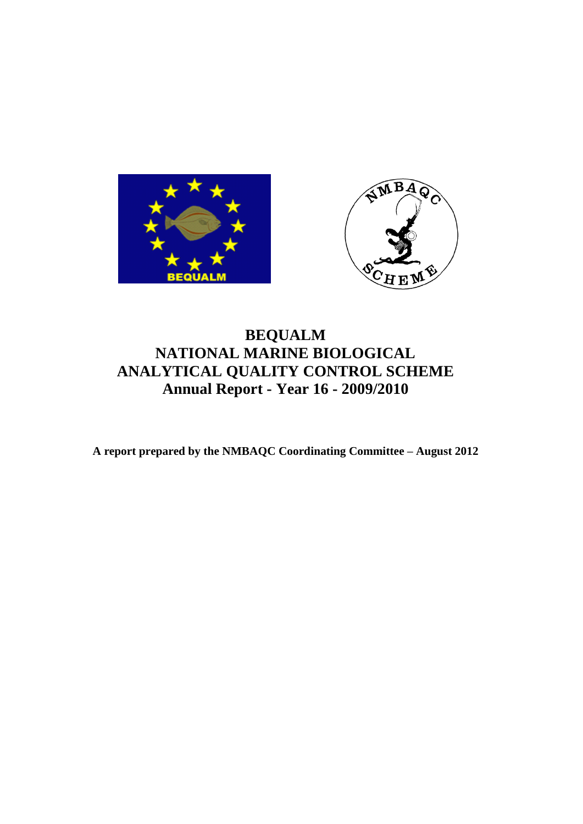



# **BEQUALM NATIONAL MARINE BIOLOGICAL ANALYTICAL QUALITY CONTROL SCHEME Annual Report - Year 16 - 2009/2010**

**A report prepared by the NMBAQC Coordinating Committee – August 2012**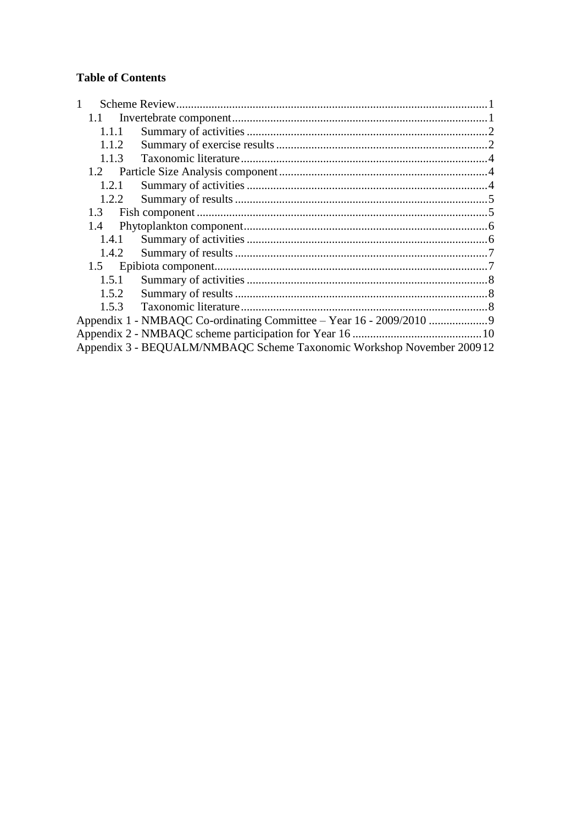# **Table of Contents**

| 1.1   |                                                                       |  |
|-------|-----------------------------------------------------------------------|--|
| 1.1.1 |                                                                       |  |
| 1.1.2 |                                                                       |  |
| 1.1.3 |                                                                       |  |
| 1.2   |                                                                       |  |
| 1.2.1 |                                                                       |  |
| 1.2.2 |                                                                       |  |
| 1.3   |                                                                       |  |
| 1.4   |                                                                       |  |
| 1.4.1 |                                                                       |  |
| 1.4.2 |                                                                       |  |
| 1.5   |                                                                       |  |
| 1.5.1 |                                                                       |  |
| 1.5.2 |                                                                       |  |
| 1.5.3 |                                                                       |  |
|       | Appendix 1 - NMBAQC Co-ordinating Committee - Year 16 - 2009/2010     |  |
|       |                                                                       |  |
|       | Appendix 3 - BEQUALM/NMBAQC Scheme Taxonomic Workshop November 200912 |  |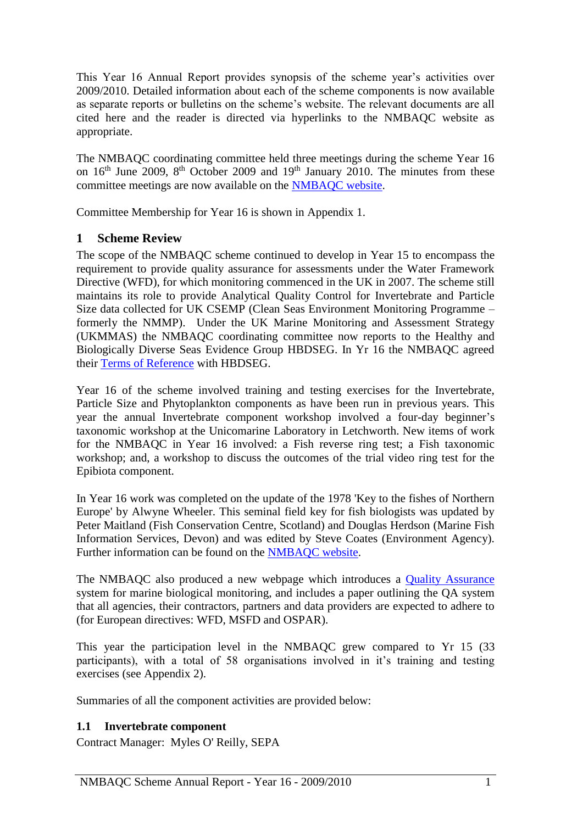This Year 16 Annual Report provides synopsis of the scheme year's activities over 2009/2010. Detailed information about each of the scheme components is now available as separate reports or bulletins on the scheme's website. The relevant documents are all cited here and the reader is directed via hyperlinks to the NMBAQC website as appropriate.

The NMBAQC coordinating committee held three meetings during the scheme Year 16 on  $16<sup>th</sup>$  June 2009,  $8<sup>th</sup>$  October 2009 and  $19<sup>th</sup>$  January 2010. The minutes from these committee meetings are now available on the [NMBAQC website.](http://www.nmbaqcs.org/reports.aspx)

<span id="page-2-0"></span>Committee Membership for Year 16 is shown in Appendix 1.

# **1 Scheme Review**

The scope of the NMBAQC scheme continued to develop in Year 15 to encompass the requirement to provide quality assurance for assessments under the Water Framework Directive (WFD), for which monitoring commenced in the UK in 2007. The scheme still maintains its role to provide Analytical Quality Control for Invertebrate and Particle Size data collected for UK CSEMP (Clean Seas Environment Monitoring Programme – formerly the NMMP). Under the UK Marine Monitoring and Assessment Strategy (UKMMAS) the NMBAQC coordinating committee now reports to the Healthy and Biologically Diverse Seas Evidence Group HBDSEG. In Yr 16 the NMBAQC agreed their [Terms of Reference](http://www.nmbaqcs.org/media/5140/nmbaqc_tor_2010%20final.pdf) with HBDSEG.

Year 16 of the scheme involved training and testing exercises for the Invertebrate, Particle Size and Phytoplankton components as have been run in previous years. This year the annual Invertebrate component workshop involved a four-day beginner's taxonomic workshop at the Unicomarine Laboratory in Letchworth. New items of work for the NMBAQC in Year 16 involved: a Fish reverse ring test; a Fish taxonomic workshop; and, a workshop to discuss the outcomes of the trial video ring test for the Epibiota component.

In Year 16 work was completed on the update of the 1978 'Key to the fishes of Northern Europe' by Alwyne Wheeler. This seminal field key for fish biologists was updated by Peter Maitland (Fish Conservation Centre, Scotland) and Douglas Herdson (Marine Fish Information Services, Devon) and was edited by Steve Coates (Environment Agency). Further information can be found on the [NMBAQC website.](http://www.nmbaqcs.org/scheme-components/fish/literature-and-taxonomic-keys.aspx)

The NMBAQC also produced a new webpage which introduces a [Quality Assurance](http://www.nmbaqcs.org/qa-standards.aspx) system for marine biological monitoring, and includes a paper outlining the QA system that all agencies, their contractors, partners and data providers are expected to adhere to (for European directives: WFD, MSFD and OSPAR).

This year the participation level in the NMBAQC grew compared to Yr 15 (33 participants), with a total of 58 organisations involved in it's training and testing exercises (see Appendix 2).

<span id="page-2-1"></span>Summaries of all the component activities are provided below:

### **1.1 Invertebrate component**

Contract Manager: Myles O' Reilly, SEPA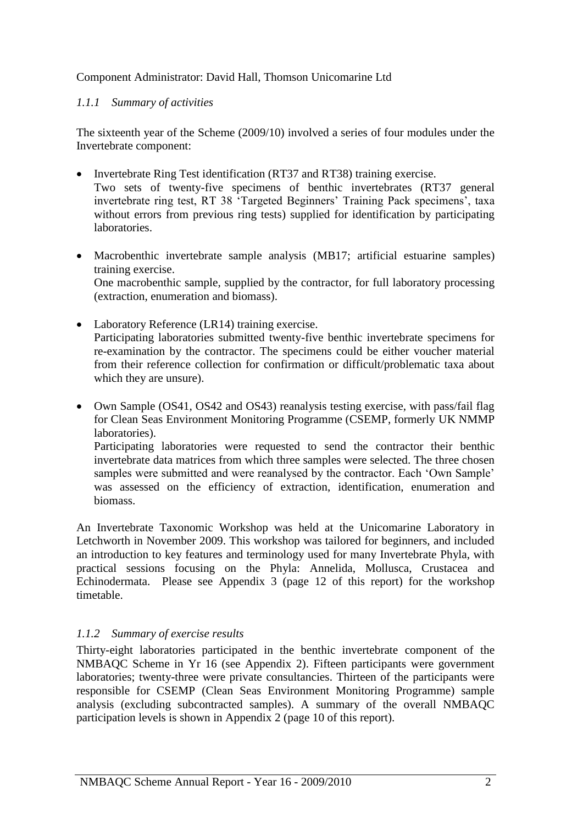## Component Administrator: David Hall, Thomson Unicomarine Ltd

## <span id="page-3-0"></span>*1.1.1 Summary of activities*

The sixteenth year of the Scheme (2009/10) involved a series of four modules under the Invertebrate component:

- Invertebrate Ring Test identification (RT37 and RT38) training exercise. Two sets of twenty-five specimens of benthic invertebrates (RT37 general invertebrate ring test, RT 38 'Targeted Beginners' Training Pack specimens', taxa without errors from previous ring tests) supplied for identification by participating laboratories.
- Macrobenthic invertebrate sample analysis (MB17; artificial estuarine samples) training exercise. One macrobenthic sample, supplied by the contractor, for full laboratory processing

(extraction, enumeration and biomass).

- Laboratory Reference (LR14) training exercise. Participating laboratories submitted twenty-five benthic invertebrate specimens for re-examination by the contractor. The specimens could be either voucher material from their reference collection for confirmation or difficult/problematic taxa about which they are unsure).
- Own Sample (OS41, OS42 and OS43) reanalysis testing exercise, with pass/fail flag for Clean Seas Environment Monitoring Programme (CSEMP, formerly UK NMMP laboratories).

Participating laboratories were requested to send the contractor their benthic invertebrate data matrices from which three samples were selected. The three chosen samples were submitted and were reanalysed by the contractor. Each 'Own Sample' was assessed on the efficiency of extraction, identification, enumeration and biomass.

An Invertebrate Taxonomic Workshop was held at the Unicomarine Laboratory in Letchworth in November 2009. This workshop was tailored for beginners, and included an introduction to key features and terminology used for many Invertebrate Phyla, with practical sessions focusing on the Phyla: Annelida, Mollusca, Crustacea and Echinodermata. Please see Appendix 3 (page 12 of this report) for the workshop timetable.

# <span id="page-3-1"></span>*1.1.2 Summary of exercise results*

Thirty-eight laboratories participated in the benthic invertebrate component of the NMBAQC Scheme in Yr 16 (see Appendix 2). Fifteen participants were government laboratories; twenty-three were private consultancies. Thirteen of the participants were responsible for CSEMP (Clean Seas Environment Monitoring Programme) sample analysis (excluding subcontracted samples). A summary of the overall NMBAQC participation levels is shown in Appendix 2 (page 10 of this report).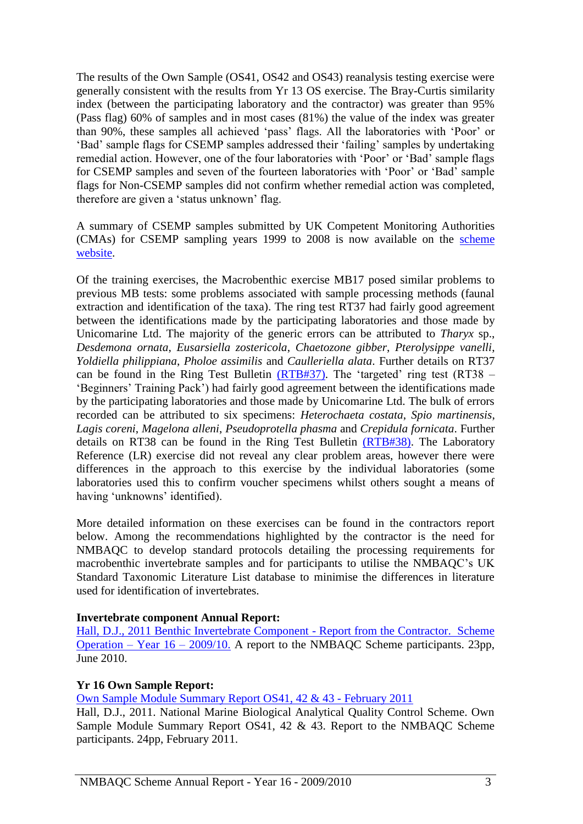The results of the Own Sample (OS41, OS42 and OS43) reanalysis testing exercise were generally consistent with the results from Yr 13 OS exercise. The Bray-Curtis similarity index (between the participating laboratory and the contractor) was greater than 95% (Pass flag) 60% of samples and in most cases (81%) the value of the index was greater than 90%, these samples all achieved 'pass' flags. All the laboratories with 'Poor' or 'Bad' sample flags for CSEMP samples addressed their 'failing' samples by undertaking remedial action. However, one of the four laboratories with 'Poor' or 'Bad' sample flags for CSEMP samples and seven of the fourteen laboratories with 'Poor' or 'Bad' sample flags for Non-CSEMP samples did not confirm whether remedial action was completed, therefore are given a 'status unknown' flag.

A summary of CSEMP samples submitted by UK Competent Monitoring Authorities (CMAs) for CSEMP sampling years 1999 to 2008 is now available on the [scheme](http://www.nmbaqcs.org/media/11652/99_08%20csemp%20os%20report.pdf)  [website.](http://www.nmbaqcs.org/media/11652/99_08%20csemp%20os%20report.pdf)

Of the training exercises, the Macrobenthic exercise MB17 posed similar problems to previous MB tests: some problems associated with sample processing methods (faunal extraction and identification of the taxa). The ring test RT37 had fairly good agreement between the identifications made by the participating laboratories and those made by Unicomarine Ltd. The majority of the generic errors can be attributed to *Tharyx* sp., *Desdemona ornata*, *Eusarsiella zostericola*, *Chaetozone gibber*, *Pterolysippe vanelli*, *Yoldiella philippiana*, *Pholoe assimilis* and *Caulleriella alata*. Further details on RT37 can be found in the Ring Test Bulletin  $(RTB#37)$ . The 'targeted' ring test  $(RT38 -$ 'Beginners' Training Pack') had fairly good agreement between the identifications made by the participating laboratories and those made by Unicomarine Ltd. The bulk of errors recorded can be attributed to six specimens: *Heterochaeta costata*, *Spio martinensis*, *Lagis coreni*, *Magelona alleni*, *Pseudoprotella phasma* and *Crepidula fornicata*. Further details on RT38 can be found in the Ring Test Bulletin [\(RTB#38\).](http://www.nmbaqcs.org/media/8725/ring%20test%2038%20bulletin.pdf) The Laboratory Reference (LR) exercise did not reveal any clear problem areas, however there were differences in the approach to this exercise by the individual laboratories (some laboratories used this to confirm voucher specimens whilst others sought a means of having 'unknowns' identified).

More detailed information on these exercises can be found in the contractors report below. Among the recommendations highlighted by the contractor is the need for NMBAQC to develop standard protocols detailing the processing requirements for macrobenthic invertebrate samples and for participants to utilise the NMBAQC's UK Standard Taxonomic Literature List database to minimise the differences in literature used for identification of invertebrates.

#### **Invertebrate component Annual Report:**

[Hall, D.J., 2011 Benthic Invertebrate Component -](http://www.nmbaqcs.org/media/10635/yr16_annrep0910_inverts.pdf) Report from the Contractor. Scheme [Operation –](http://www.nmbaqcs.org/media/10635/yr16_annrep0910_inverts.pdf) Year 16 – 2009/10. A report to the NMBAQC Scheme participants. 23pp, June 2010.

#### **Yr 16 Own Sample Report:**

[Own Sample Module Summary](http://www.nmbaqcs.org/scheme-components/invertebrates/reports/os41-4243-summaryrpt.aspx) Report OS41, 42 & 43 - February 2011

Hall, D.J., 2011. National Marine Biological Analytical Quality Control Scheme. Own Sample Module Summary Report OS41, 42 & 43. Report to the NMBAQC Scheme participants. 24pp, February 2011.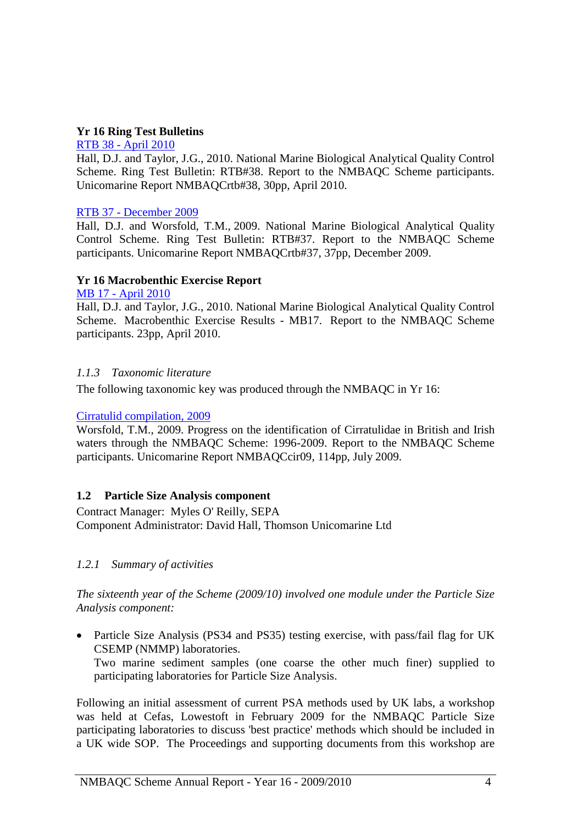## **Yr 16 Ring Test Bulletins**

#### RTB 38 - [April 2010](http://www.nmbaqcs.org/scheme-components/invertebrates/reports/rtb38.aspx)

Hall, D.J. and Taylor, J.G., 2010. National Marine Biological Analytical Quality Control Scheme. Ring Test Bulletin: RTB#38. Report to the NMBAQC Scheme participants. Unicomarine Report NMBAQCrtb#38, 30pp, April 2010.

### RTB 37 - [December 2009](http://www.nmbaqcs.org/scheme-components/invertebrates/reports/rtb-37new.aspx)

Hall, D.J. and Worsfold, T.M., 2009. National Marine Biological Analytical Quality Control Scheme. Ring Test Bulletin: RTB#37. Report to the NMBAQC Scheme participants. Unicomarine Report NMBAQCrtb#37, 37pp, December 2009.

### **Yr 16 Macrobenthic Exercise Report**

### MB 17 - [April 2010](http://www.nmbaqcs.org/scheme-components/invertebrates/reports/mb-17.aspx)

Hall, D.J. and Taylor, J.G., 2010. National Marine Biological Analytical Quality Control Scheme. Macrobenthic Exercise Results - MB17. Report to the NMBAQC Scheme participants. 23pp, April 2010.

## <span id="page-5-0"></span>*1.1.3 Taxonomic literature*

The following taxonomic key was produced through the NMBAQC in Yr 16:

#### [Cirratulid compilation, 2009](http://www.nmbaqcs.org/scheme-components/invertebrates/literature-and-taxonomic-keys/cirratulidae.aspx)

Worsfold, T.M., 2009. Progress on the identification of Cirratulidae in British and Irish waters through the NMBAQC Scheme: 1996-2009. Report to the NMBAQC Scheme participants. Unicomarine Report NMBAQCcir09, 114pp, July 2009.

### <span id="page-5-1"></span>**1.2 Particle Size Analysis component**

Contract Manager: Myles O' Reilly, SEPA Component Administrator: David Hall, Thomson Unicomarine Ltd

### <span id="page-5-2"></span>*1.2.1 Summary of activities*

*The sixteenth year of the Scheme (2009/10) involved one module under the Particle Size Analysis component:*

• Particle Size Analysis (PS34 and PS35) testing exercise, with pass/fail flag for UK CSEMP (NMMP) laboratories. Two marine sediment samples (one coarse the other much finer) supplied to participating laboratories for Particle Size Analysis.

Following an initial assessment of current PSA methods used by UK labs, a workshop was held at Cefas, Lowestoft in February 2009 for the NMBAQC Particle Size participating laboratories to discuss 'best practice' methods which should be included in a UK wide SOP. The Proceedings and supporting documents from this workshop are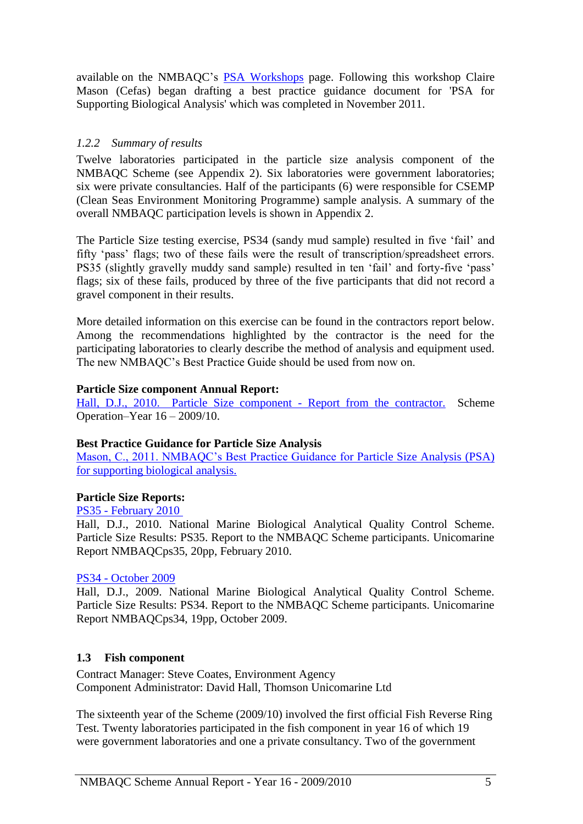available on the NMBAQC's **[PSA Workshops](http://www.nmbaqcs.org/scheme-components/particle-size-analysis/workshops.aspx)** page. Following this workshop Claire Mason (Cefas) began drafting a best practice guidance document for 'PSA for Supporting Biological Analysis' which was completed in November 2011.

## <span id="page-6-0"></span>*1.2.2 Summary of results*

Twelve laboratories participated in the particle size analysis component of the NMBAQC Scheme (see Appendix 2). Six laboratories were government laboratories; six were private consultancies. Half of the participants (6) were responsible for CSEMP (Clean Seas Environment Monitoring Programme) sample analysis. A summary of the overall NMBAQC participation levels is shown in Appendix 2.

The Particle Size testing exercise, PS34 (sandy mud sample) resulted in five 'fail' and fifty 'pass' flags; two of these fails were the result of transcription/spreadsheet errors. PS35 (slightly gravelly muddy sand sample) resulted in ten 'fail' and forty-five 'pass' flags; six of these fails, produced by three of the five participants that did not record a gravel component in their results.

More detailed information on this exercise can be found in the contractors report below. Among the recommendations highlighted by the contractor is the need for the participating laboratories to clearly describe the method of analysis and equipment used. The new NMBAQC's Best Practice Guide should be used from now on.

### **Particle Size component Annual Report:**

[Hall, D.J., 2010. Particle Size component -](http://www.nmbaqcs.org/media/10585/annrep0910_psa.pdf) Report from the contractor. Scheme Operation–Year 16 – 2009/10.

### **Best Practice Guidance for Particle Size Analysis**

[Mason, C., 2011. NMBAQC's Best Practice Guidance for Particle Size Analysis \(PSA\)](http://www.nmbaqcs.org/media/10839/nmbaqc%20best%20practice%20guidance_particle%20size%20analysis.pdf)  [for supporting biological analysis.](http://www.nmbaqcs.org/media/10839/nmbaqc%20best%20practice%20guidance_particle%20size%20analysis.pdf)

#### **Particle Size Reports:**

PS35 - [February 2010](http://www.nmbaqcs.org/scheme-components/particle-size-analysis/reports/ps35.aspx)

Hall, D.J., 2010. National Marine Biological Analytical Quality Control Scheme. Particle Size Results: PS35. Report to the NMBAQC Scheme participants. Unicomarine Report NMBAQCps35, 20pp, February 2010.

#### PS34 - [October 2009](http://www.nmbaqcs.org/scheme-components/particle-size-analysis/reports/ps34.aspx)

Hall, D.J., 2009. National Marine Biological Analytical Quality Control Scheme. Particle Size Results: PS34. Report to the NMBAQC Scheme participants. Unicomarine Report NMBAQCps34, 19pp, October 2009.

### <span id="page-6-1"></span>**1.3 Fish component**

Contract Manager: Steve Coates, Environment Agency Component Administrator: David Hall, Thomson Unicomarine Ltd

The sixteenth year of the Scheme (2009/10) involved the first official Fish Reverse Ring Test. Twenty laboratories participated in the fish component in year 16 of which 19 were government laboratories and one a private consultancy. Two of the government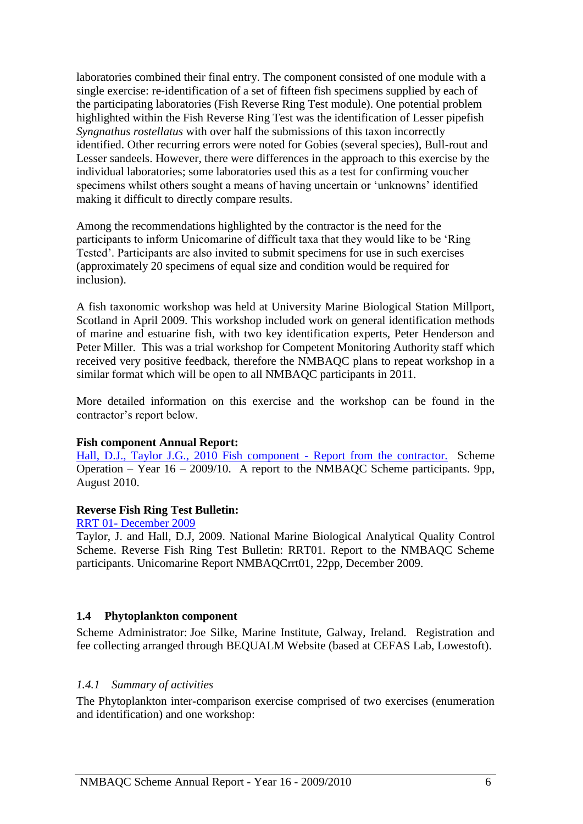laboratories combined their final entry. The component consisted of one module with a single exercise: re-identification of a set of fifteen fish specimens supplied by each of the participating laboratories (Fish Reverse Ring Test module). One potential problem highlighted within the Fish Reverse Ring Test was the identification of Lesser pipefish *Syngnathus rostellatus* with over half the submissions of this taxon incorrectly identified. Other recurring errors were noted for Gobies (several species), Bull-rout and Lesser sandeels. However, there were differences in the approach to this exercise by the individual laboratories; some laboratories used this as a test for confirming voucher specimens whilst others sought a means of having uncertain or 'unknowns' identified making it difficult to directly compare results.

Among the recommendations highlighted by the contractor is the need for the participants to inform Unicomarine of difficult taxa that they would like to be 'Ring Tested'. Participants are also invited to submit specimens for use in such exercises (approximately 20 specimens of equal size and condition would be required for inclusion).

A fish taxonomic workshop was held at University Marine Biological Station Millport, Scotland in April 2009. This workshop included work on general identification methods of marine and estuarine fish, with two key identification experts, Peter Henderson and Peter Miller. This was a trial workshop for Competent Monitoring Authority staff which received very positive feedback, therefore the NMBAQC plans to repeat workshop in a similar format which will be open to all NMBAQC participants in 2011.

More detailed information on this exercise and the workshop can be found in the contractor's report below.

#### **Fish component Annual Report:**

[Hall, D.J., Taylor J.G., 2010 Fish component -](http://www.nmbaqcs.org/media/10576/yr16annrep0910_fish.pdf) Report from the contractor. Scheme Operation – Year 16 – 2009/10. A report to the NMBAQC Scheme participants. 9pp, August 2010.

#### **Reverse Fish Ring Test Bulletin:**

#### RRT 01- [December 2009](http://www.nmbaqcs.org/scheme-components/fish/reports/rrt01-report.aspx)

Taylor, J. and Hall, D.J, 2009. National Marine Biological Analytical Quality Control Scheme. Reverse Fish Ring Test Bulletin: RRT01. Report to the NMBAQC Scheme participants. Unicomarine Report NMBAQCrrt01, 22pp, December 2009.

#### <span id="page-7-0"></span>**1.4 Phytoplankton component**

Scheme Administrator: Joe Silke, Marine Institute, Galway, Ireland. Registration and fee collecting arranged through BEQUALM Website (based at CEFAS Lab, Lowestoft).

#### <span id="page-7-1"></span>*1.4.1 Summary of activities*

The Phytoplankton inter-comparison exercise comprised of two exercises (enumeration and identification) and one workshop: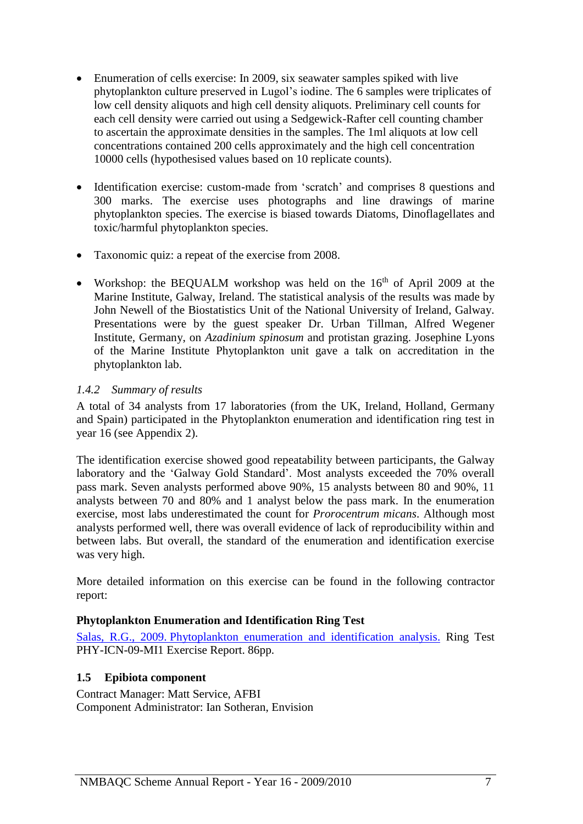- Enumeration of cells exercise: In 2009, six seawater samples spiked with live phytoplankton culture preserved in Lugol's iodine. The 6 samples were triplicates of low cell density aliquots and high cell density aliquots. Preliminary cell counts for each cell density were carried out using a Sedgewick-Rafter cell counting chamber to ascertain the approximate densities in the samples. The 1ml aliquots at low cell concentrations contained 200 cells approximately and the high cell concentration 10000 cells (hypothesised values based on 10 replicate counts).
- Identification exercise: custom-made from 'scratch' and comprises 8 questions and 300 marks. The exercise uses photographs and line drawings of marine phytoplankton species. The exercise is biased towards Diatoms, Dinoflagellates and toxic/harmful phytoplankton species.
- Taxonomic quiz: a repeat of the exercise from 2008.
- Workshop: the BEQUALM workshop was held on the  $16<sup>th</sup>$  of April 2009 at the Marine Institute, Galway, Ireland. The statistical analysis of the results was made by John Newell of the Biostatistics Unit of the National University of Ireland, Galway. Presentations were by the guest speaker Dr. Urban Tillman, Alfred Wegener Institute, Germany, on *Azadinium spinosum* and protistan grazing. Josephine Lyons of the Marine Institute Phytoplankton unit gave a talk on accreditation in the phytoplankton lab.

## <span id="page-8-0"></span>*1.4.2 Summary of results*

A total of 34 analysts from 17 laboratories (from the UK, Ireland, Holland, Germany and Spain) participated in the Phytoplankton enumeration and identification ring test in year 16 (see Appendix 2).

The identification exercise showed good repeatability between participants, the Galway laboratory and the 'Galway Gold Standard'. Most analysts exceeded the 70% overall pass mark. Seven analysts performed above 90%, 15 analysts between 80 and 90%, 11 analysts between 70 and 80% and 1 analyst below the pass mark. In the enumeration exercise, most labs underestimated the count for *Prorocentrum micans*. Although most analysts performed well, there was overall evidence of lack of reproducibility within and between labs. But overall, the standard of the enumeration and identification exercise was very high.

More detailed information on this exercise can be found in the following contractor report:

### **Phytoplankton Enumeration and Identification Ring Test**

Salas, R.G., 2009. [Phytoplankton enumeration and identification analysis.](http://www.nmbaqcs.org/media/4481/bequalm%20phy-icn-09-mi1%20final%20report%20vr3.0.pdf) Ring Test PHY-ICN-09-MI1 Exercise Report. 86pp.

# <span id="page-8-1"></span>**1.5 Epibiota component**

Contract Manager: Matt Service, AFBI Component Administrator: Ian Sotheran, Envision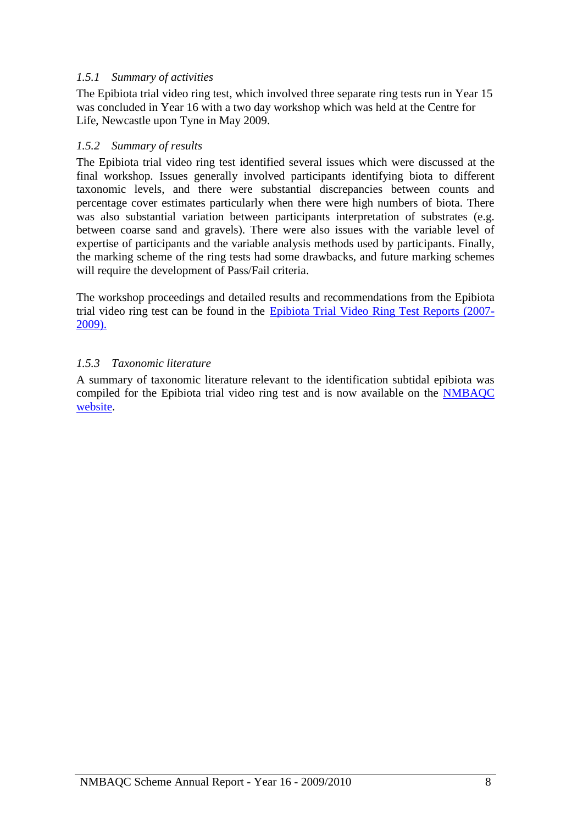# <span id="page-9-0"></span>*1.5.1 Summary of activities*

The Epibiota trial video ring test, which involved three separate ring tests run in Year 15 was concluded in Year 16 with a two day workshop which was held at the Centre for Life, Newcastle upon Tyne in May 2009.

## <span id="page-9-1"></span>*1.5.2 Summary of results*

The Epibiota trial video ring test identified several issues which were discussed at the final workshop. Issues generally involved participants identifying biota to different taxonomic levels, and there were substantial discrepancies between counts and percentage cover estimates particularly when there were high numbers of biota. There was also substantial variation between participants interpretation of substrates (e.g. between coarse sand and gravels). There were also issues with the variable level of expertise of participants and the variable analysis methods used by participants. Finally, the marking scheme of the ring tests had some drawbacks, and future marking schemes will require the development of Pass/Fail criteria.

The workshop proceedings and detailed results and recommendations from the Epibiota trial video ring test can be found in the [Epibiota Trial Video Ring Test Reports \(2007-](http://www.nmbaqcs.org/scheme-components/epibiota/reports.aspx) [2009\).](http://www.nmbaqcs.org/scheme-components/epibiota/reports.aspx)

## <span id="page-9-2"></span>*1.5.3 Taxonomic literature*

A summary of taxonomic literature relevant to the identification subtidal epibiota was compiled for the Epibiota trial video ring test and is now available on the [NMBAQC](http://www.nmbaqcs.org/scheme-components/epibiota/taxonomic-references.aspx)  [website.](http://www.nmbaqcs.org/scheme-components/epibiota/taxonomic-references.aspx)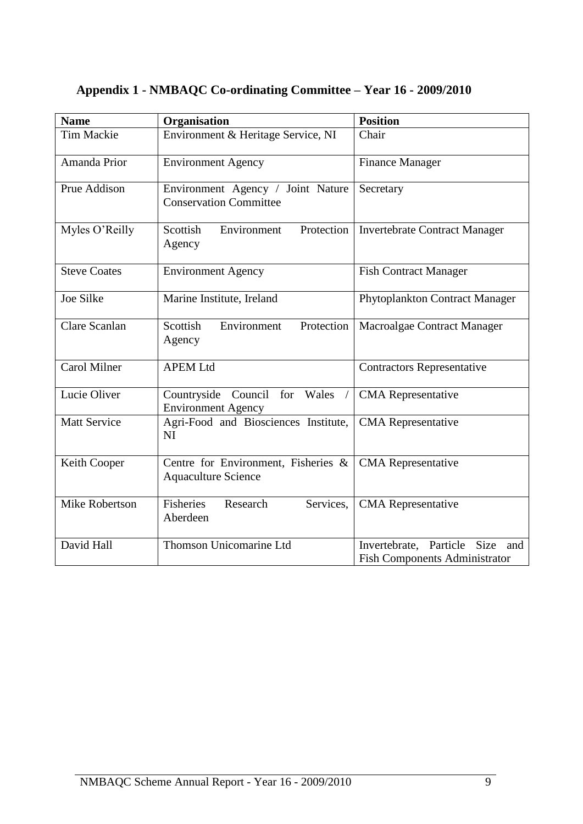| <b>Name</b>          | Organisation                                                       | <b>Position</b>                                                                      |
|----------------------|--------------------------------------------------------------------|--------------------------------------------------------------------------------------|
| <b>Tim Mackie</b>    | Environment & Heritage Service, NI                                 | Chair                                                                                |
| Amanda Prior         | <b>Environment Agency</b>                                          | <b>Finance Manager</b>                                                               |
| Prue Addison         | Environment Agency / Joint Nature<br><b>Conservation Committee</b> | Secretary                                                                            |
| Myles O'Reilly       | Protection<br>Scottish<br>Environment<br>Agency                    | <b>Invertebrate Contract Manager</b>                                                 |
| <b>Steve Coates</b>  | <b>Environment Agency</b>                                          | <b>Fish Contract Manager</b>                                                         |
| <b>Joe Silke</b>     | Marine Institute, Ireland                                          | Phytoplankton Contract Manager                                                       |
| <b>Clare Scanlan</b> | Scottish<br>Environment<br>Protection<br>Agency                    | Macroalgae Contract Manager                                                          |
| <b>Carol Milner</b>  | <b>APEM Ltd</b>                                                    | <b>Contractors Representative</b>                                                    |
| Lucie Oliver         | Countryside Council for Wales<br><b>Environment Agency</b>         | <b>CMA</b> Representative                                                            |
| <b>Matt Service</b>  | Agri-Food and Biosciences Institute,<br>NI                         | <b>CMA</b> Representative                                                            |
| Keith Cooper         | Centre for Environment, Fisheries &<br><b>Aquaculture Science</b>  | <b>CMA</b> Representative                                                            |
| Mike Robertson       | <b>Fisheries</b><br>Research<br>Services,<br>Aberdeen              | <b>CMA</b> Representative                                                            |
| David Hall           | Thomson Unicomarine Ltd                                            | Invertebrate, Particle<br><b>Size</b><br>and<br><b>Fish Components Administrator</b> |

# <span id="page-10-0"></span>**Appendix 1 - NMBAQC Co-ordinating Committee – Year 16 - 2009/2010**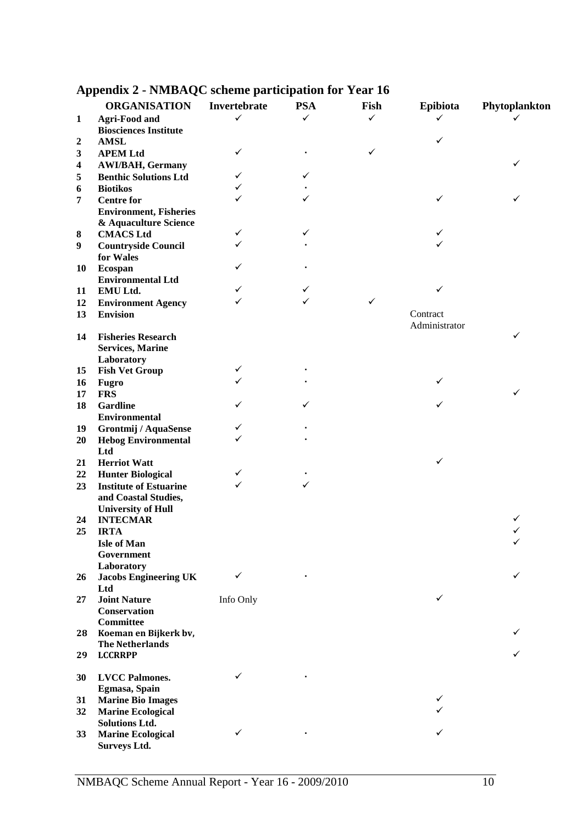|              | <b>ORGANISATION</b>                        | Invertebrate | <b>PSA</b>   | Fish         | Epibiota      | Phytoplankton |
|--------------|--------------------------------------------|--------------|--------------|--------------|---------------|---------------|
| $\mathbf{1}$ | <b>Agri-Food and</b>                       | $\checkmark$ | $\checkmark$ | $\checkmark$ | ✓             | ✓             |
|              | <b>Biosciences Institute</b>               |              |              |              |               |               |
| 2            | <b>AMSL</b>                                |              |              |              | ✓             |               |
| 3            | <b>APEM Ltd</b>                            | ✓            |              | ✓            |               |               |
| 4            | <b>AWI/BAH, Germany</b>                    |              |              |              |               | ✓             |
| 5            | <b>Benthic Solutions Ltd</b>               | ✓            |              |              |               |               |
| 6            | <b>Biotikos</b>                            |              |              |              |               |               |
| 7            | <b>Centre for</b>                          |              |              |              | ✓             |               |
|              | <b>Environment, Fisheries</b>              |              |              |              |               |               |
|              | & Aquaculture Science                      |              |              |              |               |               |
| 8            | <b>CMACS Ltd</b>                           | ✓            |              |              | ✓             |               |
| 9            | <b>Countryside Council</b>                 | ✓            |              |              | ✓             |               |
|              | for Wales                                  |              |              |              |               |               |
| 10           | <b>Ecospan</b>                             | ✓            |              |              |               |               |
|              | <b>Environmental Ltd</b>                   |              |              |              |               |               |
| 11           | EMU Ltd.                                   |              | ✓            |              | ✓             |               |
| 12           | <b>Environment Agency</b>                  |              |              | ✓            |               |               |
| 13           | <b>Envision</b>                            |              |              |              | Contract      |               |
|              |                                            |              |              |              | Administrator |               |
| 14           | <b>Fisheries Research</b>                  |              |              |              |               | ✓             |
|              | <b>Services, Marine</b>                    |              |              |              |               |               |
|              | Laboratory                                 |              |              |              |               |               |
| 15           | <b>Fish Vet Group</b>                      | ✓            |              |              |               |               |
| 16           | <b>Fugro</b>                               |              |              |              | ✓             |               |
| 17           | <b>FRS</b>                                 |              |              |              |               |               |
| 18           | <b>Gardline</b>                            |              |              |              | ✓             |               |
|              | <b>Environmental</b>                       |              |              |              |               |               |
| 19           | Grontmij / AquaSense                       | ✓            |              |              |               |               |
| 20           | <b>Hebog Environmental</b>                 |              |              |              |               |               |
|              | Ltd                                        |              |              |              |               |               |
| 21           | <b>Herriot Watt</b>                        |              |              |              | ✓             |               |
| 22           | <b>Hunter Biological</b>                   | ✓<br>✓       |              |              |               |               |
| 23           | <b>Institute of Estuarine</b>              |              |              |              |               |               |
|              | and Coastal Studies,                       |              |              |              |               |               |
|              | <b>University of Hull</b>                  |              |              |              |               |               |
| 24           | <b>INTECMAR</b>                            |              |              |              |               | ✓             |
| 25           | <b>IRTA</b>                                |              |              |              |               | ✓             |
|              | <b>Isle of Man</b>                         |              |              |              |               |               |
|              | Government                                 |              |              |              |               |               |
| 26           | Laboratory<br><b>Jacobs Engineering UK</b> | $\checkmark$ |              |              |               | ✓             |
|              | Ltd                                        |              |              |              |               |               |
| 27           | <b>Joint Nature</b>                        | Info Only    |              |              | ✓             |               |
|              | <b>Conservation</b>                        |              |              |              |               |               |
|              | <b>Committee</b>                           |              |              |              |               |               |
| 28           | Koeman en Bijkerk bv,                      |              |              |              |               |               |
|              | <b>The Netherlands</b>                     |              |              |              |               |               |
| 29           | <b>LCCRRPP</b>                             |              |              |              |               |               |
|              |                                            |              |              |              |               |               |
| 30           | <b>LVCC Palmones.</b>                      | ✓            |              |              |               |               |
|              | Egmasa, Spain                              |              |              |              |               |               |
| 31           | <b>Marine Bio Images</b>                   |              |              |              | ✓             |               |
| 32           | <b>Marine Ecological</b>                   |              |              |              |               |               |
|              | <b>Solutions Ltd.</b>                      |              |              |              |               |               |
| 33           | <b>Marine Ecological</b>                   | ✓            |              |              |               |               |
|              | <b>Surveys Ltd.</b>                        |              |              |              |               |               |

# <span id="page-11-0"></span>**Appendix 2 - NMBAQC scheme participation for Year 16**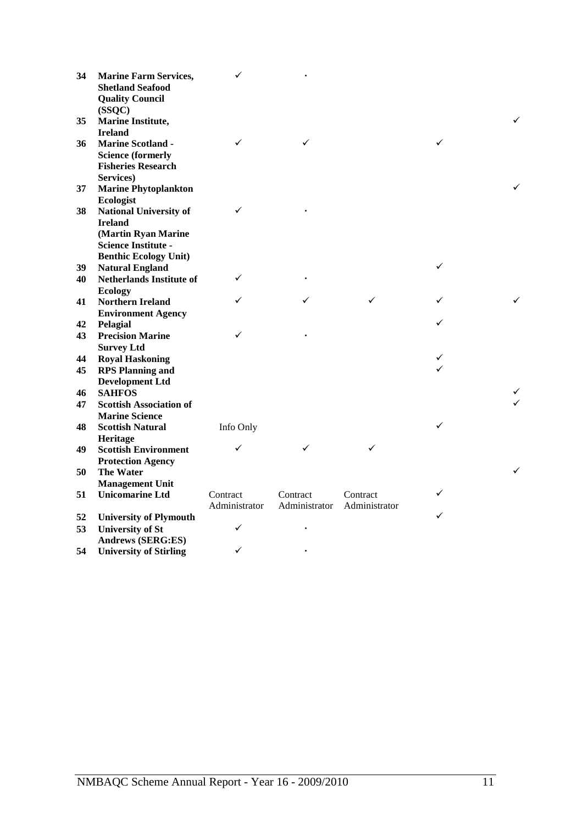| 34       | <b>Marine Farm Services,</b><br><b>Shetland Seafood</b><br><b>Quality Council</b><br>(SSQC)    | $\checkmark$  |               |               |              |   |
|----------|------------------------------------------------------------------------------------------------|---------------|---------------|---------------|--------------|---|
| 35       | <b>Marine Institute,</b><br><b>Ireland</b>                                                     |               |               |               |              |   |
| 36       | <b>Marine Scotland -</b><br><b>Science (formerly</b><br><b>Fisheries Research</b><br>Services) | ✓             | ✓             |               | ✓            |   |
| 37       | <b>Marine Phytoplankton</b>                                                                    |               |               |               |              |   |
| 38       | Ecologist<br><b>National University of</b><br><b>Ireland</b><br>(Martin Ryan Marine            | ✓             |               |               |              |   |
|          | <b>Science Institute -</b>                                                                     |               |               |               |              |   |
| 39       | <b>Benthic Ecology Unit)</b><br><b>Natural England</b>                                         |               |               |               | ✓            |   |
| 40       | <b>Netherlands Institute of</b><br><b>Ecology</b>                                              | ✓             |               |               |              |   |
| 41       | <b>Northern Ireland</b>                                                                        | ✓             |               |               |              |   |
| 42       | <b>Environment Agency</b><br>Pelagial                                                          |               |               |               |              |   |
| 43       | <b>Precision Marine</b>                                                                        | ✓             |               |               |              |   |
| 44       | <b>Survey Ltd</b><br><b>Royal Haskoning</b>                                                    |               |               |               |              |   |
| 45       | <b>RPS Planning and</b>                                                                        |               |               |               | $\checkmark$ |   |
| 46       | <b>Development Ltd</b><br><b>SAHFOS</b>                                                        |               |               |               |              |   |
| 47       | <b>Scottish Association of</b><br><b>Marine Science</b>                                        |               |               |               |              | ✓ |
| 48       | <b>Scottish Natural</b><br>Heritage                                                            | Info Only     |               |               | ✓            |   |
| 49       | <b>Scottish Environment</b>                                                                    | ✓             |               |               |              |   |
| 50       | <b>Protection Agency</b><br><b>The Water</b>                                                   |               |               |               |              | ✓ |
| 51       | <b>Management Unit</b><br><b>Unicomarine Ltd</b>                                               | Contract      | Contract      | Contract      | ✓            |   |
|          |                                                                                                | Administrator | Administrator | Administrator |              |   |
| 52<br>53 | <b>University of Plymouth</b><br><b>University of St</b><br><b>Andrews (SERG:ES)</b>           | ✓             |               |               | ✓            |   |
| 54       | <b>University of Stirling</b>                                                                  | ✓             |               |               |              |   |